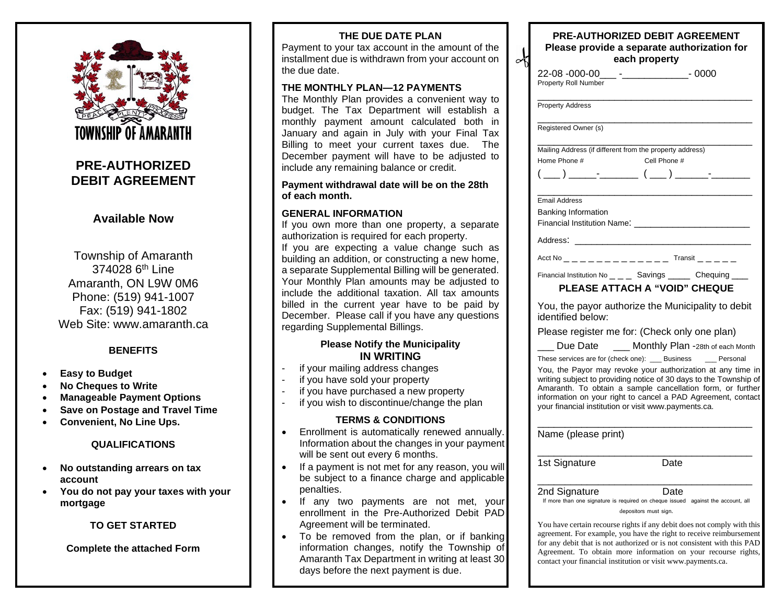

## **PRE-AUTHORIZED DEBIT AGREEMENT**

### **Available Now**

Township of Amaranth 374028 6<sup>th</sup> Line Amaranth, ON L9W 0M6 Phone: (519) 941-1007 Fax: (519) 941-1802 Web Site: www.amaranth.ca

### **BENEFITS**

- **Easy to Budget**
- **No Cheques to Write**
- **Manageable Payment Options**
- **Save on Postage and Travel Time**
- **Convenient, No Line Ups.**

#### **QUALIFICATIONS**

- **No outstanding arrears on tax account**
- **You do not pay your taxes with your mortgage**

### **TO GET STARTED**

**Complete the attached Form**

### **THE DUE DATE PLAN**

Payment to your tax account in the amount of the installment due is withdrawn from your account on the due date.

∝

#### **THE MONTHLY PLAN—12 PAYMENTS**

The Monthly Plan provides a convenient way to budget. The Tax Department will establish a monthly payment amount calculated both in January and again in July with your Final Tax Billing to meet your current taxes due. The December payment will have to be adjusted to include any remaining balance or credit.

#### **Payment withdrawal date will be on the 28th of each month.**

#### **GENERAL INFORMATION**

If you own more than one property, a separate authorization is required for each property. If you are expecting a value change such as building an addition, or constructing a new home, a separate Supplemental Billing will be generated. Your Monthly Plan amounts may be adjusted to include the additional taxation. All tax amounts billed in the current year have to be paid by December. Please call if you have any questions regarding Supplemental Billings.

### **Please Notify the Municipality IN WRITING**

- if your mailing address changes
- if you have sold your property
- if you have purchased a new property
- if you wish to discontinue/change the plan

#### **TERMS & CONDITIONS**

- Enrollment is automatically renewed annually. Information about the changes in your payment will be sent out every 6 months.
- If a payment is not met for any reason, you will be subject to a finance charge and applicable penalties.
- If any two payments are not met, your enrollment in the Pre-Authorized Debit PAD Agreement will be terminated.
- To be removed from the plan, or if banking information changes, notify the Township of Amaranth Tax Department in writing at least 30 days before the next payment is due.

| <b>PRE-AUTHORIZED DEBIT AGREEMENT</b><br>Please provide a separate authorization for<br>each property                                                                                                                                                                                                                                                                                    |
|------------------------------------------------------------------------------------------------------------------------------------------------------------------------------------------------------------------------------------------------------------------------------------------------------------------------------------------------------------------------------------------|
| 22-08 -000-00___ -_________________- 0000<br>Property Roll Number                                                                                                                                                                                                                                                                                                                        |
| <b>Property Address</b>                                                                                                                                                                                                                                                                                                                                                                  |
| Registered Owner (s)                                                                                                                                                                                                                                                                                                                                                                     |
| Mailing Address (if different from the property address)<br>Home Phone #<br>Cell Phone #                                                                                                                                                                                                                                                                                                 |
| <b>Email Address</b><br><b>Banking Information</b>                                                                                                                                                                                                                                                                                                                                       |
| Address: _________________________________                                                                                                                                                                                                                                                                                                                                               |
| Acct No <b>Example 2018</b> Transit                                                                                                                                                                                                                                                                                                                                                      |
| Financial Institution No _ _ _ Savings _ _ _ Chequing _ _<br>PLEASE ATTACH A "VOID" CHEQUE                                                                                                                                                                                                                                                                                               |
| You, the payor authorize the Municipality to debit<br>identified below:                                                                                                                                                                                                                                                                                                                  |
| Please register me for: (Check only one plan)                                                                                                                                                                                                                                                                                                                                            |
| Due Date _____ Monthly Plan -28th of each Month                                                                                                                                                                                                                                                                                                                                          |
| These services are for (check one): ___ Business ____ Personal<br>You, the Payor may revoke your authorization at any time in<br>writing subject to providing notice of 30 days to the Township of<br>Amaranth. To obtain a sample cancellation form, or further<br>information on your right to cancel a PAD Agreement, contact<br>your financial institution or visit www.payments.ca. |
| Name (please print)                                                                                                                                                                                                                                                                                                                                                                      |
| 1st Signature<br>Date                                                                                                                                                                                                                                                                                                                                                                    |
| 2nd Signature<br>Date<br>If more than one signature is required on cheque issued against the account, all<br>depositors must sign.                                                                                                                                                                                                                                                       |
| You have certain recourse rights if any debit does not comply with this                                                                                                                                                                                                                                                                                                                  |

You have certain recourse rights if any debit does not comply with this agreement. For example, you have the right to receive reimbursement for any debit that is not authorized or is not consistent with this PAD Agreement. To obtain more information on your recourse rights, contact your financial institution or visit www.payments.ca.